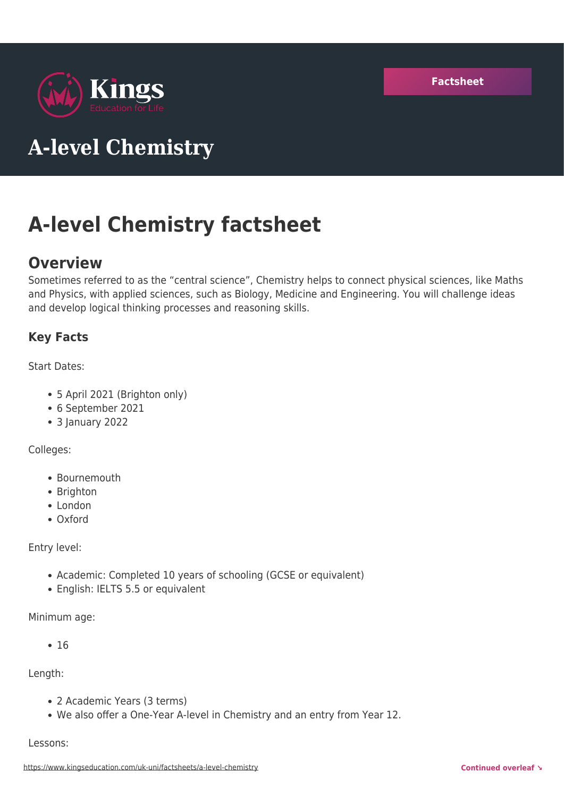

# **A-level Chemistry**

# **A-level Chemistry factsheet**

## **Overview**

Sometimes referred to as the "central science", Chemistry helps to connect physical sciences, like Maths and Physics, with applied sciences, such as Biology, Medicine and Engineering. You will challenge ideas and develop logical thinking processes and reasoning skills.

## **Key Facts**

Start Dates:

- 5 April 2021 (Brighton only)
- 6 September 2021
- 3 January 2022

Colleges:

- Bournemouth
- Brighton
- London
- Oxford

Entry level:

- Academic: Completed 10 years of schooling (GCSE or equivalent)
- English: IELTS 5.5 or equivalent

Minimum age:

 $• 16$ 

Length:

- 2 Academic Years (3 terms)
- We also offer a One-Year A-level in Chemistry and an entry from Year 12.

Lessons: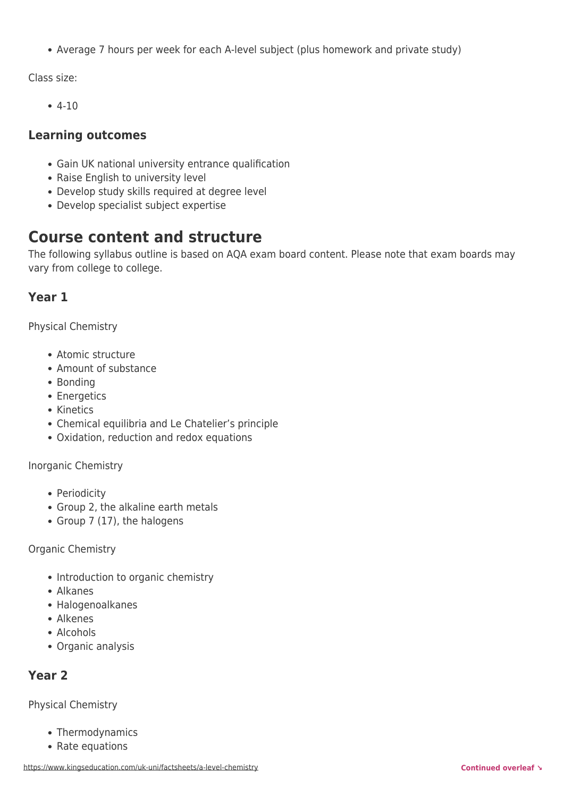Average 7 hours per week for each A-level subject (plus homework and private study)

Class size:

 $-4-10$ 

## **Learning outcomes**

- Gain UK national university entrance qualification
- Raise English to university level
- Develop study skills required at degree level
- Develop specialist subject expertise

# **Course content and structure**

The following syllabus outline is based on AQA exam board content. Please note that exam boards may vary from college to college.

## **Year 1**

Physical Chemistry

- Atomic structure
- Amount of substance
- Bonding
- Energetics
- Kinetics
- Chemical equilibria and Le Chatelier's principle
- Oxidation, reduction and redox equations

Inorganic Chemistry

- Periodicity
- Group 2, the alkaline earth metals
- Group 7 (17), the halogens

#### Organic Chemistry

- Introduction to organic chemistry
- Alkanes
- Halogenoalkanes
- Alkenes
- Alcohols
- Organic analysis

## **Year 2**

Physical Chemistry

- Thermodynamics
- Rate equations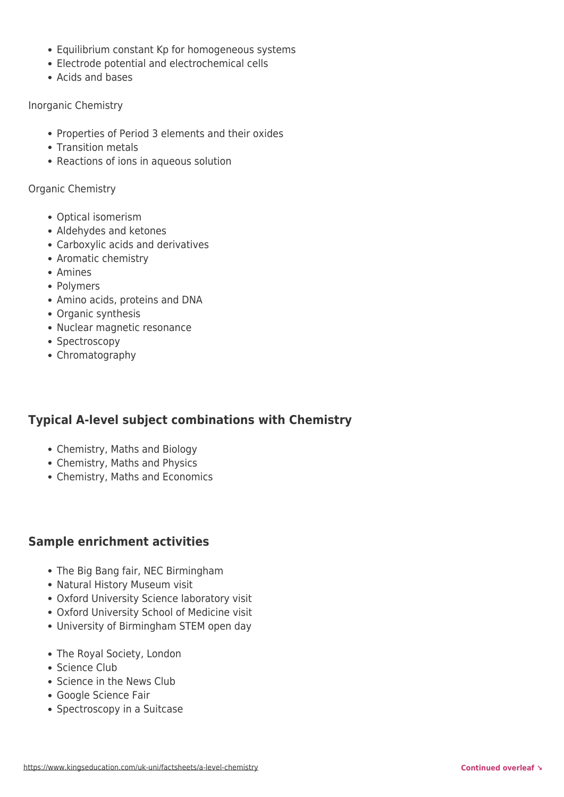- Equilibrium constant Kp for homogeneous systems
- Electrode potential and electrochemical cells
- Acids and bases

#### Inorganic Chemistry

- Properties of Period 3 elements and their oxides
- Transition metals
- Reactions of ions in aqueous solution

Organic Chemistry

- Optical isomerism
- Aldehydes and ketones
- Carboxylic acids and derivatives
- Aromatic chemistry
- Amines
- Polymers
- Amino acids, proteins and DNA
- Organic synthesis
- Nuclear magnetic resonance
- Spectroscopy
- Chromatography

## **Typical A-level subject combinations with Chemistry**

- Chemistry, Maths and Biology
- Chemistry, Maths and Physics
- Chemistry, Maths and Economics

### **Sample enrichment activities**

- The Big Bang fair, NEC Birmingham
- Natural History Museum visit
- Oxford University Science laboratory visit
- Oxford University School of Medicine visit
- University of Birmingham STEM open day
- The Royal Society, London
- Science Club
- Science in the News Club
- Google Science Fair
- Spectroscopy in a Suitcase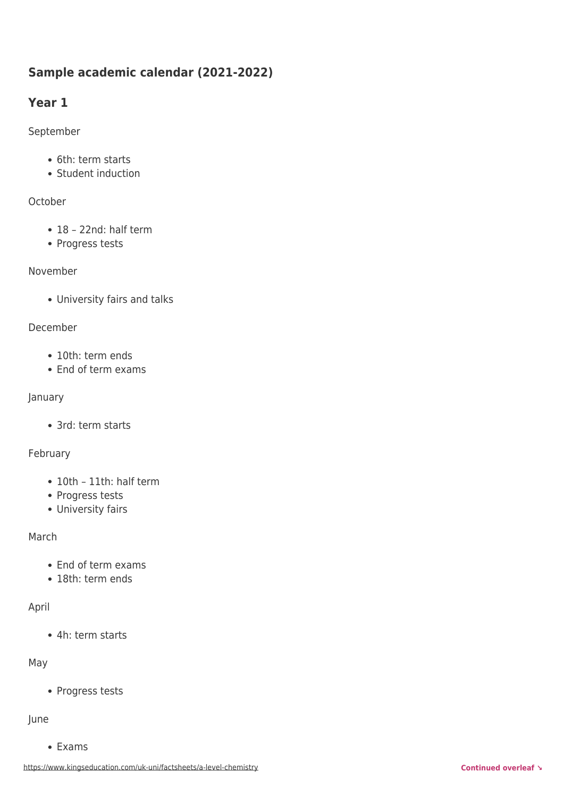## **Sample academic calendar (2021-2022)**

### **Year 1**

September

- 6th: term starts
- Student induction

#### **October**

- 18 22nd: half term
- Progress tests

#### November

University fairs and talks

#### December

- 10th: term ends
- End of term exams

#### January

3rd: term starts

#### February

- 10th 11th: half term
- Progress tests
- University fairs

#### March

- End of term exams
- 18th: term ends

#### April

4h: term starts

#### May

• Progress tests

#### June

Exams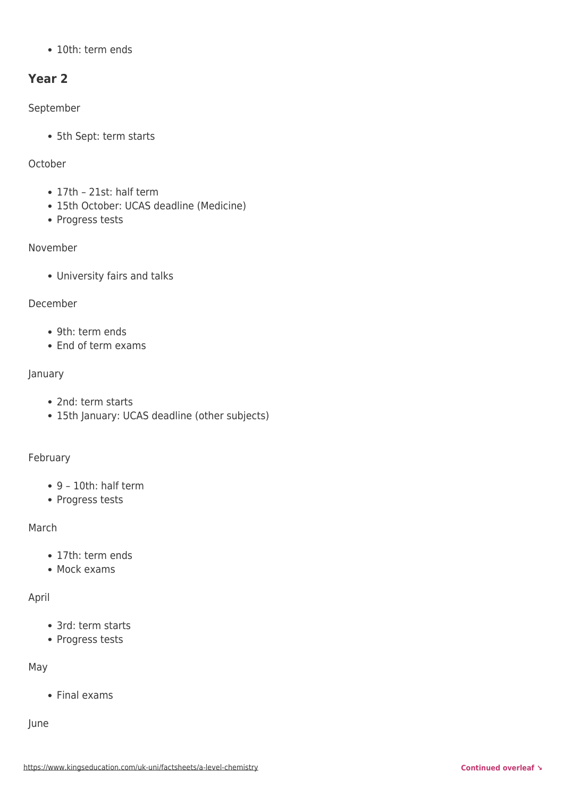• 10th: term ends

## **Year 2**

#### September

5th Sept: term starts

#### October

- 17th 21st: half term
- 15th October: UCAS deadline (Medicine)
- Progress tests

#### November

University fairs and talks

#### December

- 9th: term ends
- End of term exams

#### January

- 2nd: term starts
- 15th January: UCAS deadline (other subjects)

#### February

- 9 10th: half term
- Progress tests

#### March

- 17th: term ends
- Mock exams

#### April

- 3rd: term starts
- Progress tests

#### May

Final exams

June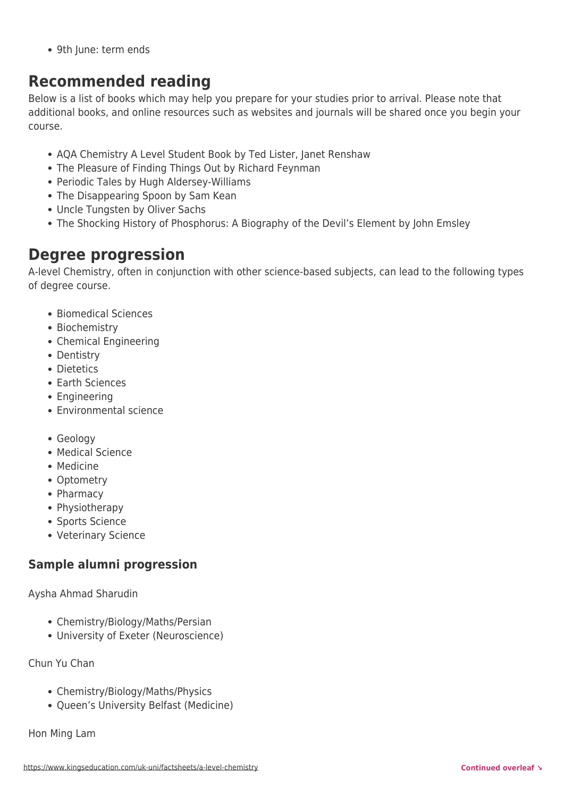• 9th June: term ends

# **Recommended reading**

Below is a list of books which may help you prepare for your studies prior to arrival. Please note that additional books, and online resources such as websites and journals will be shared once you begin your course.

- AQA Chemistry A Level Student Book by Ted Lister, Janet Renshaw
- The Pleasure of Finding Things Out by Richard Feynman
- Periodic Tales by Hugh Aldersey-Williams
- The Disappearing Spoon by Sam Kean
- Uncle Tungsten by Oliver Sachs
- The Shocking History of Phosphorus: A Biography of the Devil's Element by John Emsley

## **Degree progression**

A-level Chemistry, often in conjunction with other science-based subjects, can lead to the following types of degree course.

- Biomedical Sciences
- Biochemistry
- Chemical Engineering
- Dentistry
- Dietetics
- Farth Sciences
- Engineering
- Environmental science
- Geology
- Medical Science
- Medicine
- Optometry
- Pharmacy
- Physiotherapy
- Sports Science
- Veterinary Science

## **Sample alumni progression**

Aysha Ahmad Sharudin

- Chemistry/Biology/Maths/Persian
- University of Exeter (Neuroscience)

Chun Yu Chan

- Chemistry/Biology/Maths/Physics
- Queen's University Belfast (Medicine)

Hon Ming Lam